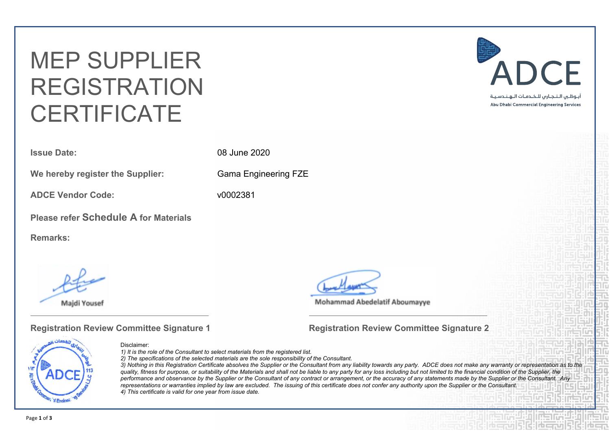# MEP SUPPLIER REGISTRATION **CERTIFICATE**

**Issue Date:** 08 June 2020

**We hereby register the Supplier:** Gama Engineering FZE

**ADCE Vendor Code:** v0002381

**Please refer Schedule A for Materials**

**Remarks:**

**Majdi Yousef** 

**Mohammad Abedelatif Aboumayye** 

#### **Registration Review Committee Signature 1 Registration Review Committee Signature 2**



#### Disclaimer:

*1) It is the role of the Consultant to select materials from the registered list.*

*2) The specifications of the selected materials are the sole responsibility of the Consultant.*

3) Nothing in this Registration Certificate absolves the Supplier or the Consultant from any liability towards any party. ADCE does not make any warranty or representation as to the quality, fitness for purpose, or suitability of the Materials and shall not be liable to any party for any loss including but not limited to the financial condition of the Supplier, the performance and observance by the Supplier or the Consultant of any contract or arrangement, or the accuracy of any statements made by the Supplier or the Consultant. Any representations or warranties implied by law are excluded. The issuing of this certificate does not confer any authority upon the Supplier or the Consultant. *4) This certificate is valid for one year from issue date.*

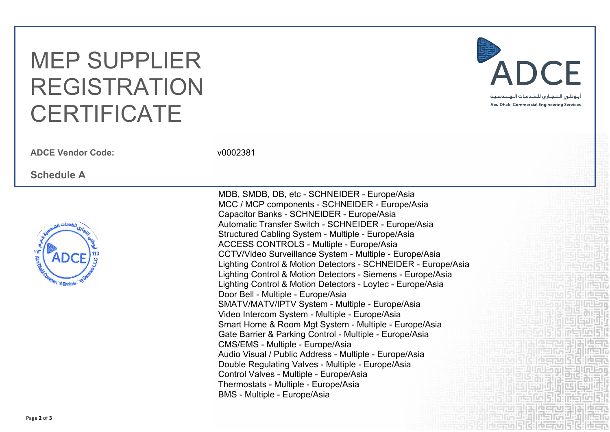## MEP SUPPLIER REGISTRATION **CERTIFICATE**

**ADCE Vendor Code:** v0002381

### **Schedule A**



MDB, SMDB, DB, etc - SCHNEIDER - Europe/Asia MCC / MCP components - SCHNEIDER - Europe/Asia Capacitor Banks - SCHNEIDER - Europe/Asia Automatic Transfer Switch - SCHNEIDER - Europe/Asia Structured Cabling System - Multiple - Europe/Asia ACCESS CONTROLS - Multiple - Europe/Asia CCTV/Video Surveillance System - Multiple - Europe/Asia Lighting Control & Motion Detectors - SCHNEIDER - Europe/Asia Lighting Control & Motion Detectors - Siemens - Europe/Asia Lighting Control & Motion Detectors - Loytec - Europe/Asia Door Bell - Multiple - Europe/Asia SMATV/MATV/IPTV System - Multiple - Europe/Asia Video Intercom System - Multiple - Europe/Asia Smart Home & Room Mgt System - Multiple - Europe/Asia Gate Barrier & Parking Control - Multiple - Europe/Asia CMS/EMS - Multiple - Europe/Asia Audio Visual / Public Address - Multiple - Europe/Asia Double Regulating Valves - Multiple - Europe/Asia Control Valves - Multiple - Europe/Asia Thermostats - Multiple - Europe/Asia BMS - Multiple - Europe/Asia



نواله انتهضت أنوالها فاستحق